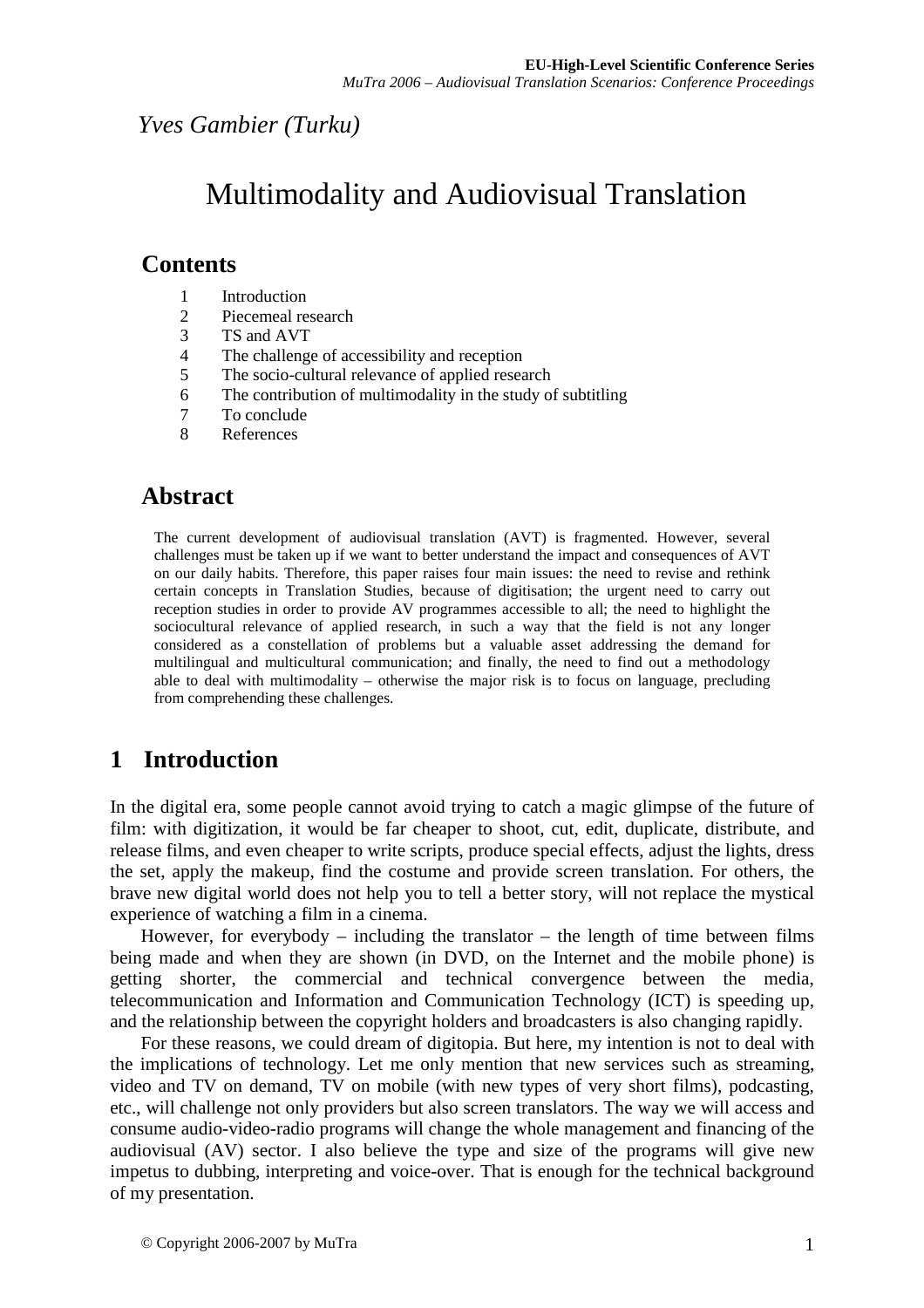#### *Yves Gambier (Turku)*

# Multimodality and Audiovisual Translation

#### **Contents**

- 1 Introduction
- 2 Piecemeal research
- 3 TS and AVT
- 4 The challenge of accessibility and reception
- 5 The socio-cultural relevance of applied research
- 6 The contribution of multimodality in the study of subtitling
- 7 To conclude
- 8 References

#### **Abstract**

The current development of audiovisual translation (AVT) is fragmented. However, several challenges must be taken up if we want to better understand the impact and consequences of AVT on our daily habits. Therefore, this paper raises four main issues: the need to revise and rethink certain concepts in Translation Studies, because of digitisation; the urgent need to carry out reception studies in order to provide AV programmes accessible to all; the need to highlight the sociocultural relevance of applied research, in such a way that the field is not any longer considered as a constellation of problems but a valuable asset addressing the demand for multilingual and multicultural communication; and finally, the need to find out a methodology able to deal with multimodality – otherwise the major risk is to focus on language, precluding from comprehending these challenges.

## **1 Introduction**

In the digital era, some people cannot avoid trying to catch a magic glimpse of the future of film: with digitization, it would be far cheaper to shoot, cut, edit, duplicate, distribute, and release films, and even cheaper to write scripts, produce special effects, adjust the lights, dress the set, apply the makeup, find the costume and provide screen translation. For others, the brave new digital world does not help you to tell a better story, will not replace the mystical experience of watching a film in a cinema.

However, for everybody  $-$  including the translator  $-$  the length of time between films being made and when they are shown (in DVD, on the Internet and the mobile phone) is getting shorter, the commercial and technical convergence between the media, telecommunication and Information and Communication Technology (ICT) is speeding up, and the relationship between the copyright holders and broadcasters is also changing rapidly.

For these reasons, we could dream of digitopia. But here, my intention is not to deal with the implications of technology. Let me only mention that new services such as streaming, video and TV on demand, TV on mobile (with new types of very short films), podcasting, etc., will challenge not only providers but also screen translators. The way we will access and consume audio-video-radio programs will change the whole management and financing of the audiovisual (AV) sector. I also believe the type and size of the programs will give new impetus to dubbing, interpreting and voice-over. That is enough for the technical background of my presentation.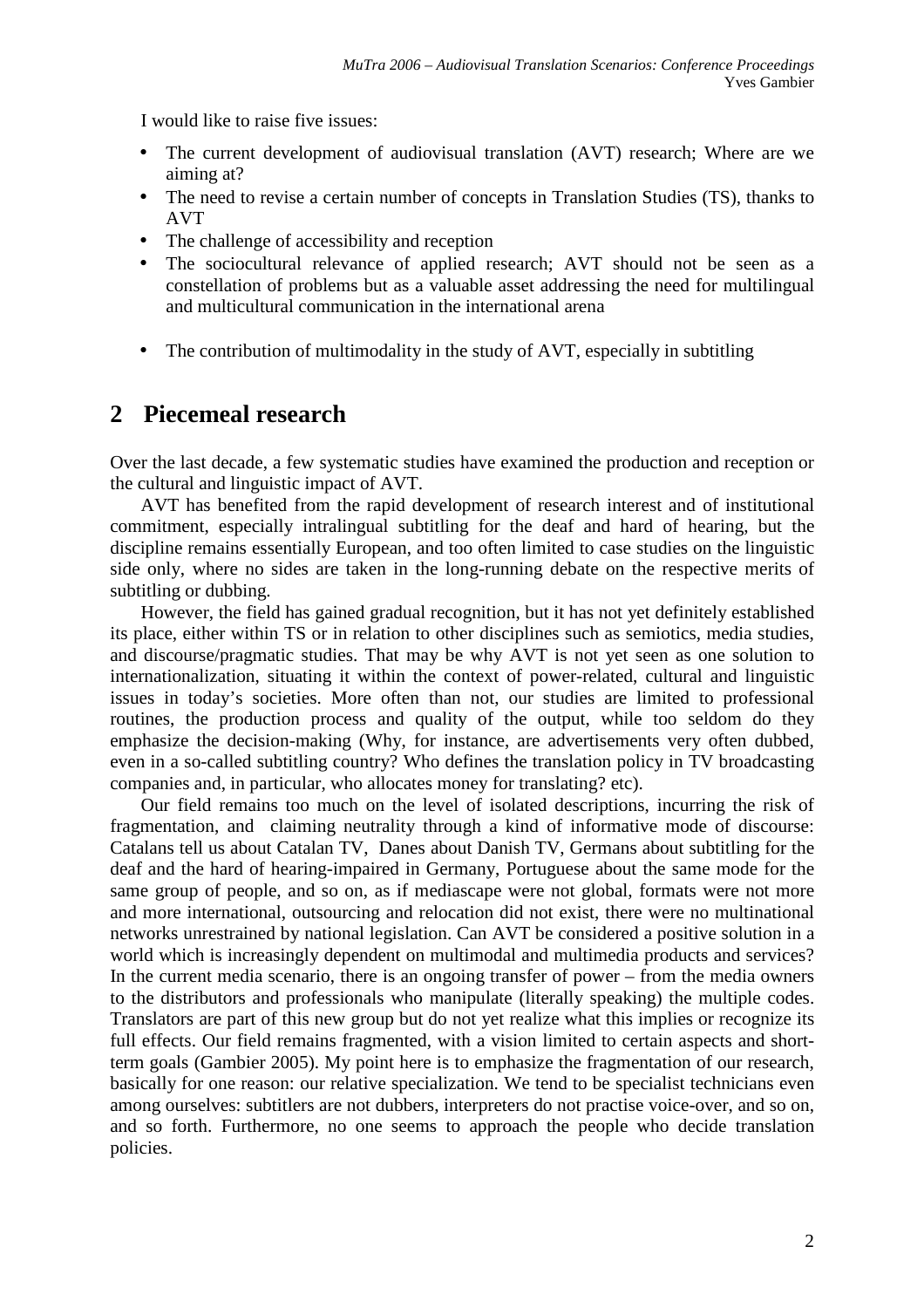I would like to raise five issues:

- The current development of audiovisual translation (AVT) research; Where are we aiming at?
- The need to revise a certain number of concepts in Translation Studies (TS), thanks to AVT
- The challenge of accessibility and reception
- The sociocultural relevance of applied research; AVT should not be seen as a constellation of problems but as a valuable asset addressing the need for multilingual and multicultural communication in the international arena
- The contribution of multimodality in the study of AVT, especially in subtitling

#### **2 Piecemeal research**

Over the last decade, a few systematic studies have examined the production and reception or the cultural and linguistic impact of AVT.

AVT has benefited from the rapid development of research interest and of institutional commitment, especially intralingual subtitling for the deaf and hard of hearing, but the discipline remains essentially European, and too often limited to case studies on the linguistic side only, where no sides are taken in the long-running debate on the respective merits of subtitling or dubbing.

However, the field has gained gradual recognition, but it has not yet definitely established its place, either within TS or in relation to other disciplines such as semiotics, media studies, and discourse/pragmatic studies. That may be why AVT is not yet seen as one solution to internationalization, situating it within the context of power-related, cultural and linguistic issues in today's societies. More often than not, our studies are limited to professional routines, the production process and quality of the output, while too seldom do they emphasize the decision-making (Why, for instance, are advertisements very often dubbed, even in a so-called subtitling country? Who defines the translation policy in TV broadcasting companies and, in particular, who allocates money for translating? etc).

Our field remains too much on the level of isolated descriptions, incurring the risk of fragmentation, and claiming neutrality through a kind of informative mode of discourse: Catalans tell us about Catalan TV, Danes about Danish TV, Germans about subtitling for the deaf and the hard of hearing-impaired in Germany, Portuguese about the same mode for the same group of people, and so on, as if mediascape were not global, formats were not more and more international, outsourcing and relocation did not exist, there were no multinational networks unrestrained by national legislation. Can AVT be considered a positive solution in a world which is increasingly dependent on multimodal and multimedia products and services? In the current media scenario, there is an ongoing transfer of power – from the media owners to the distributors and professionals who manipulate (literally speaking) the multiple codes. Translators are part of this new group but do not yet realize what this implies or recognize its full effects. Our field remains fragmented, with a vision limited to certain aspects and shortterm goals (Gambier 2005). My point here is to emphasize the fragmentation of our research, basically for one reason: our relative specialization. We tend to be specialist technicians even among ourselves: subtitlers are not dubbers, interpreters do not practise voice-over, and so on, and so forth. Furthermore, no one seems to approach the people who decide translation policies.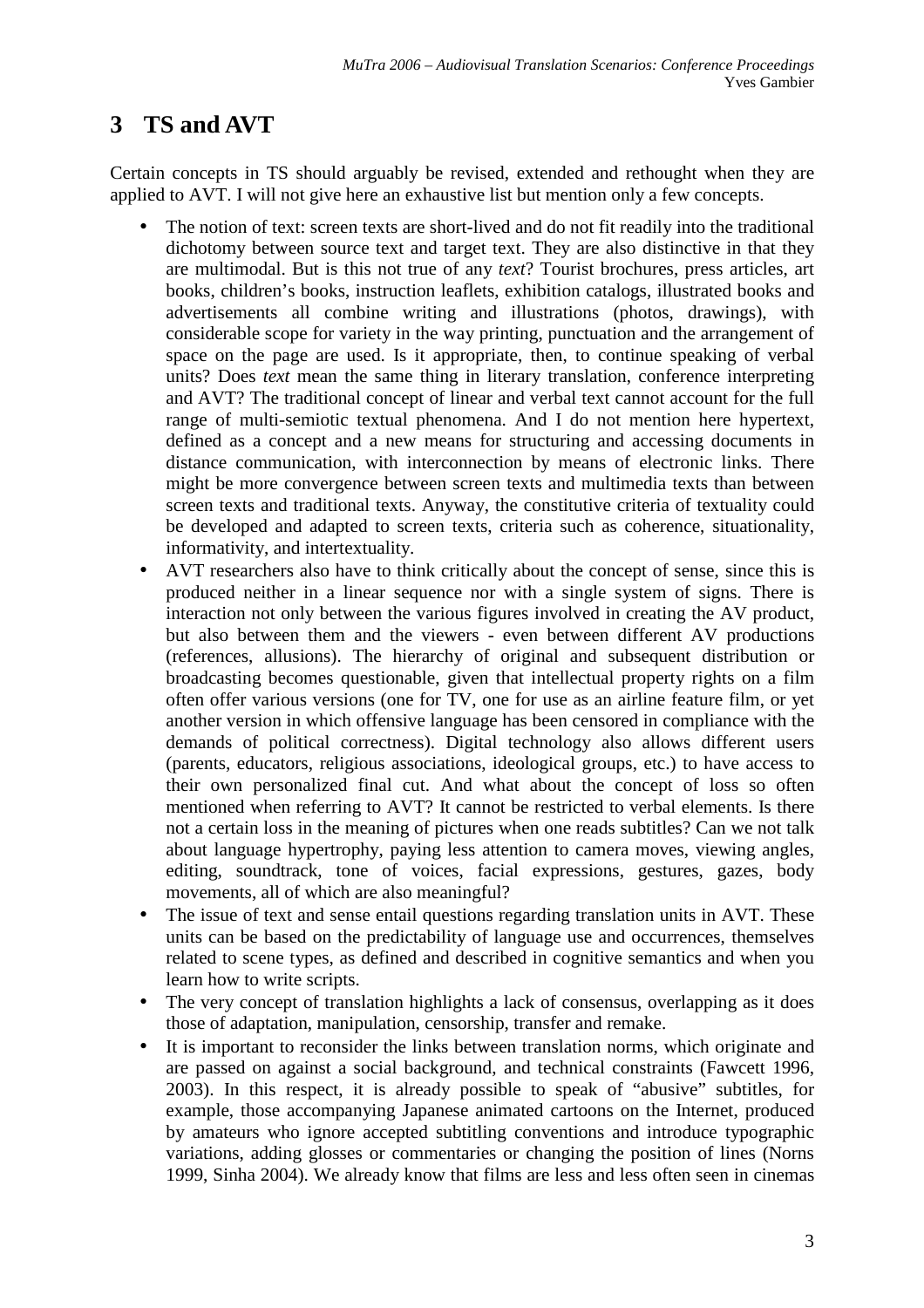# **3 TS and AVT**

Certain concepts in TS should arguably be revised, extended and rethought when they are applied to AVT. I will not give here an exhaustive list but mention only a few concepts.

- The notion of text: screen texts are short-lived and do not fit readily into the traditional dichotomy between source text and target text. They are also distinctive in that they are multimodal. But is this not true of any *text*? Tourist brochures, press articles, art books, children's books, instruction leaflets, exhibition catalogs, illustrated books and advertisements all combine writing and illustrations (photos, drawings), with considerable scope for variety in the way printing, punctuation and the arrangement of space on the page are used. Is it appropriate, then, to continue speaking of verbal units? Does *text* mean the same thing in literary translation, conference interpreting and AVT? The traditional concept of linear and verbal text cannot account for the full range of multi-semiotic textual phenomena. And I do not mention here hypertext, defined as a concept and a new means for structuring and accessing documents in distance communication, with interconnection by means of electronic links. There might be more convergence between screen texts and multimedia texts than between screen texts and traditional texts. Anyway, the constitutive criteria of textuality could be developed and adapted to screen texts, criteria such as coherence, situationality, informativity, and intertextuality.
- AVT researchers also have to think critically about the concept of sense, since this is produced neither in a linear sequence nor with a single system of signs. There is interaction not only between the various figures involved in creating the AV product, but also between them and the viewers - even between different AV productions (references, allusions). The hierarchy of original and subsequent distribution or broadcasting becomes questionable, given that intellectual property rights on a film often offer various versions (one for TV, one for use as an airline feature film, or yet another version in which offensive language has been censored in compliance with the demands of political correctness). Digital technology also allows different users (parents, educators, religious associations, ideological groups, etc.) to have access to their own personalized final cut. And what about the concept of loss so often mentioned when referring to AVT? It cannot be restricted to verbal elements. Is there not a certain loss in the meaning of pictures when one reads subtitles? Can we not talk about language hypertrophy, paying less attention to camera moves, viewing angles, editing, soundtrack, tone of voices, facial expressions, gestures, gazes, body movements, all of which are also meaningful?
- The issue of text and sense entail questions regarding translation units in AVT. These units can be based on the predictability of language use and occurrences, themselves related to scene types, as defined and described in cognitive semantics and when you learn how to write scripts.
- The very concept of translation highlights a lack of consensus, overlapping as it does those of adaptation, manipulation, censorship, transfer and remake.
- It is important to reconsider the links between translation norms, which originate and are passed on against a social background, and technical constraints (Fawcett 1996, 2003). In this respect, it is already possible to speak of "abusive" subtitles, for example, those accompanying Japanese animated cartoons on the Internet, produced by amateurs who ignore accepted subtitling conventions and introduce typographic variations, adding glosses or commentaries or changing the position of lines (Norns 1999, Sinha 2004). We already know that films are less and less often seen in cinemas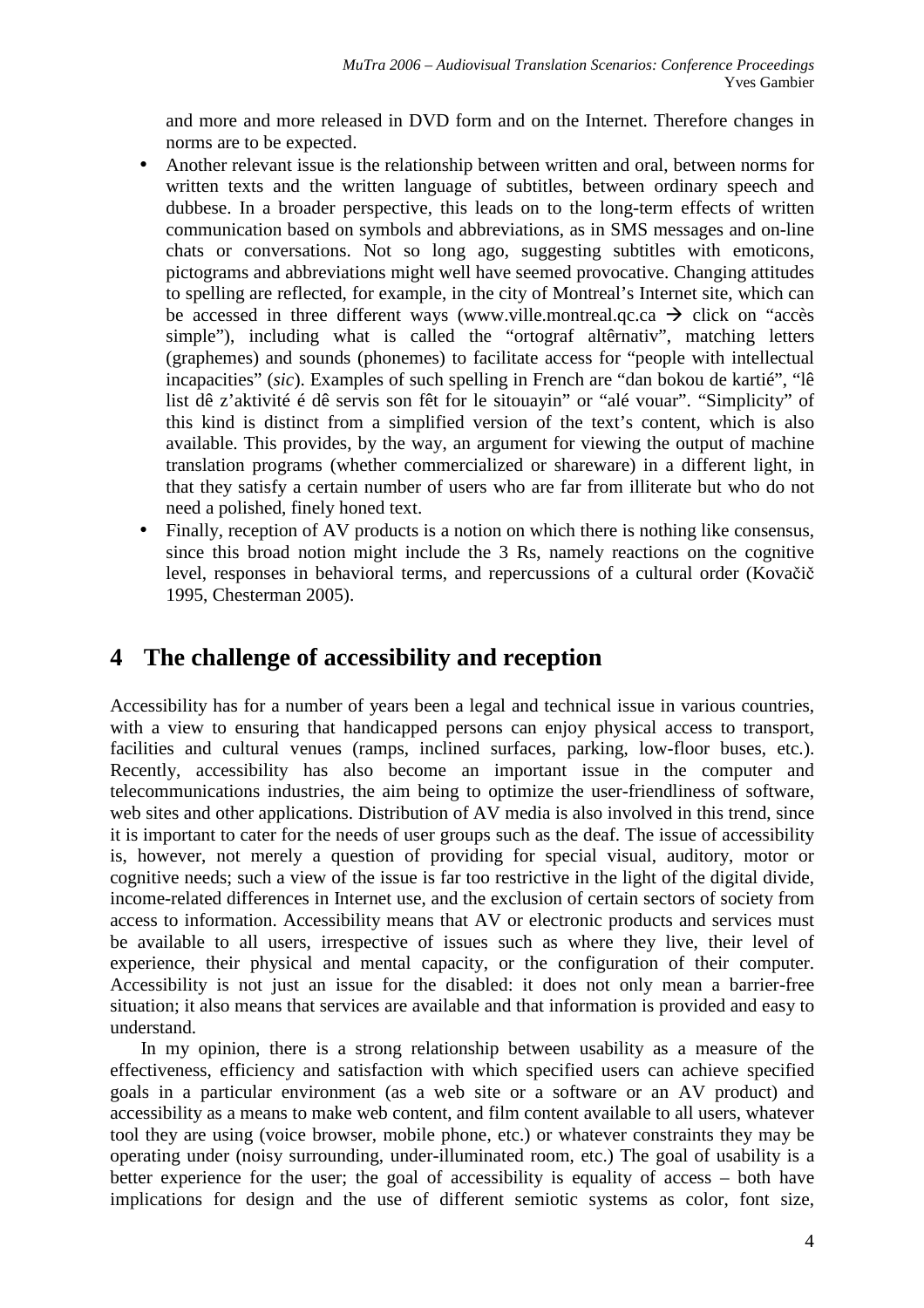and more and more released in DVD form and on the Internet. Therefore changes in norms are to be expected.

- Another relevant issue is the relationship between written and oral, between norms for written texts and the written language of subtitles, between ordinary speech and dubbese. In a broader perspective, this leads on to the long-term effects of written communication based on symbols and abbreviations, as in SMS messages and on-line chats or conversations. Not so long ago, suggesting subtitles with emoticons, pictograms and abbreviations might well have seemed provocative. Changing attitudes to spelling are reflected, for example, in the city of Montreal's Internet site, which can be accessed in three different ways (www.ville.montreal.qc.ca  $\rightarrow$  click on "accès simple"), including what is called the "ortograf altêrnativ", matching letters (graphemes) and sounds (phonemes) to facilitate access for "people with intellectual incapacities" (*sic*). Examples of such spelling in French are "dan bokou de kartié", "lê list dê z'aktivité é dê servis son fêt for le sitouayin" or "alé vouar". "Simplicity" of this kind is distinct from a simplified version of the text's content, which is also available. This provides, by the way, an argument for viewing the output of machine translation programs (whether commercialized or shareware) in a different light, in that they satisfy a certain number of users who are far from illiterate but who do not need a polished, finely honed text.
- Finally, reception of AV products is a notion on which there is nothing like consensus, since this broad notion might include the 3 Rs, namely reactions on the cognitive level, responses in behavioral terms, and repercussions of a cultural order (Kovačič 1995, Chesterman 2005).

#### **4 The challenge of accessibility and reception**

Accessibility has for a number of years been a legal and technical issue in various countries, with a view to ensuring that handicapped persons can enjoy physical access to transport, facilities and cultural venues (ramps, inclined surfaces, parking, low-floor buses, etc.). Recently, accessibility has also become an important issue in the computer and telecommunications industries, the aim being to optimize the user-friendliness of software, web sites and other applications. Distribution of AV media is also involved in this trend, since it is important to cater for the needs of user groups such as the deaf. The issue of accessibility is, however, not merely a question of providing for special visual, auditory, motor or cognitive needs; such a view of the issue is far too restrictive in the light of the digital divide, income-related differences in Internet use, and the exclusion of certain sectors of society from access to information. Accessibility means that AV or electronic products and services must be available to all users, irrespective of issues such as where they live, their level of experience, their physical and mental capacity, or the configuration of their computer. Accessibility is not just an issue for the disabled: it does not only mean a barrier-free situation; it also means that services are available and that information is provided and easy to understand.

In my opinion, there is a strong relationship between usability as a measure of the effectiveness, efficiency and satisfaction with which specified users can achieve specified goals in a particular environment (as a web site or a software or an AV product) and accessibility as a means to make web content, and film content available to all users, whatever tool they are using (voice browser, mobile phone, etc.) or whatever constraints they may be operating under (noisy surrounding, under-illuminated room, etc.) The goal of usability is a better experience for the user; the goal of accessibility is equality of access – both have implications for design and the use of different semiotic systems as color, font size,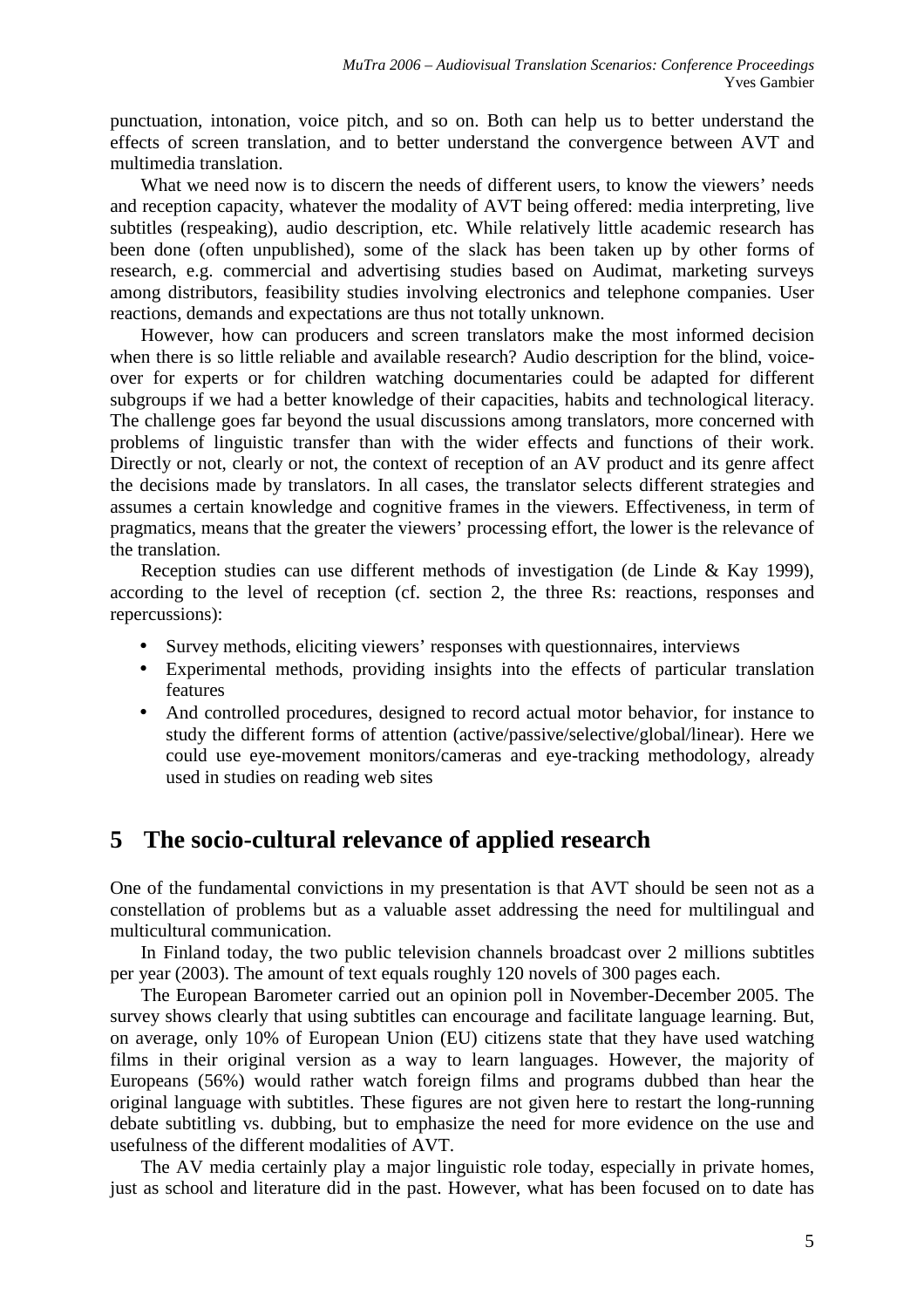punctuation, intonation, voice pitch, and so on. Both can help us to better understand the effects of screen translation, and to better understand the convergence between AVT and multimedia translation.

What we need now is to discern the needs of different users, to know the viewers' needs and reception capacity, whatever the modality of AVT being offered: media interpreting, live subtitles (respeaking), audio description, etc. While relatively little academic research has been done (often unpublished), some of the slack has been taken up by other forms of research, e.g. commercial and advertising studies based on Audimat, marketing surveys among distributors, feasibility studies involving electronics and telephone companies. User reactions, demands and expectations are thus not totally unknown.

However, how can producers and screen translators make the most informed decision when there is so little reliable and available research? Audio description for the blind, voiceover for experts or for children watching documentaries could be adapted for different subgroups if we had a better knowledge of their capacities, habits and technological literacy. The challenge goes far beyond the usual discussions among translators, more concerned with problems of linguistic transfer than with the wider effects and functions of their work. Directly or not, clearly or not, the context of reception of an AV product and its genre affect the decisions made by translators. In all cases, the translator selects different strategies and assumes a certain knowledge and cognitive frames in the viewers. Effectiveness, in term of pragmatics, means that the greater the viewers' processing effort, the lower is the relevance of the translation.

Reception studies can use different methods of investigation (de Linde & Kay 1999), according to the level of reception (cf. section 2, the three Rs: reactions, responses and repercussions):

- Survey methods, eliciting viewers' responses with questionnaires, interviews
- Experimental methods, providing insights into the effects of particular translation features
- And controlled procedures, designed to record actual motor behavior, for instance to study the different forms of attention (active/passive/selective/global/linear). Here we could use eye-movement monitors/cameras and eye-tracking methodology, already used in studies on reading web sites

## **5 The socio-cultural relevance of applied research**

One of the fundamental convictions in my presentation is that AVT should be seen not as a constellation of problems but as a valuable asset addressing the need for multilingual and multicultural communication.

In Finland today, the two public television channels broadcast over 2 millions subtitles per year (2003). The amount of text equals roughly 120 novels of 300 pages each.

The European Barometer carried out an opinion poll in November-December 2005. The survey shows clearly that using subtitles can encourage and facilitate language learning. But, on average, only 10% of European Union (EU) citizens state that they have used watching films in their original version as a way to learn languages. However, the majority of Europeans (56%) would rather watch foreign films and programs dubbed than hear the original language with subtitles. These figures are not given here to restart the long-running debate subtitling vs. dubbing, but to emphasize the need for more evidence on the use and usefulness of the different modalities of AVT.

The AV media certainly play a major linguistic role today, especially in private homes, just as school and literature did in the past. However, what has been focused on to date has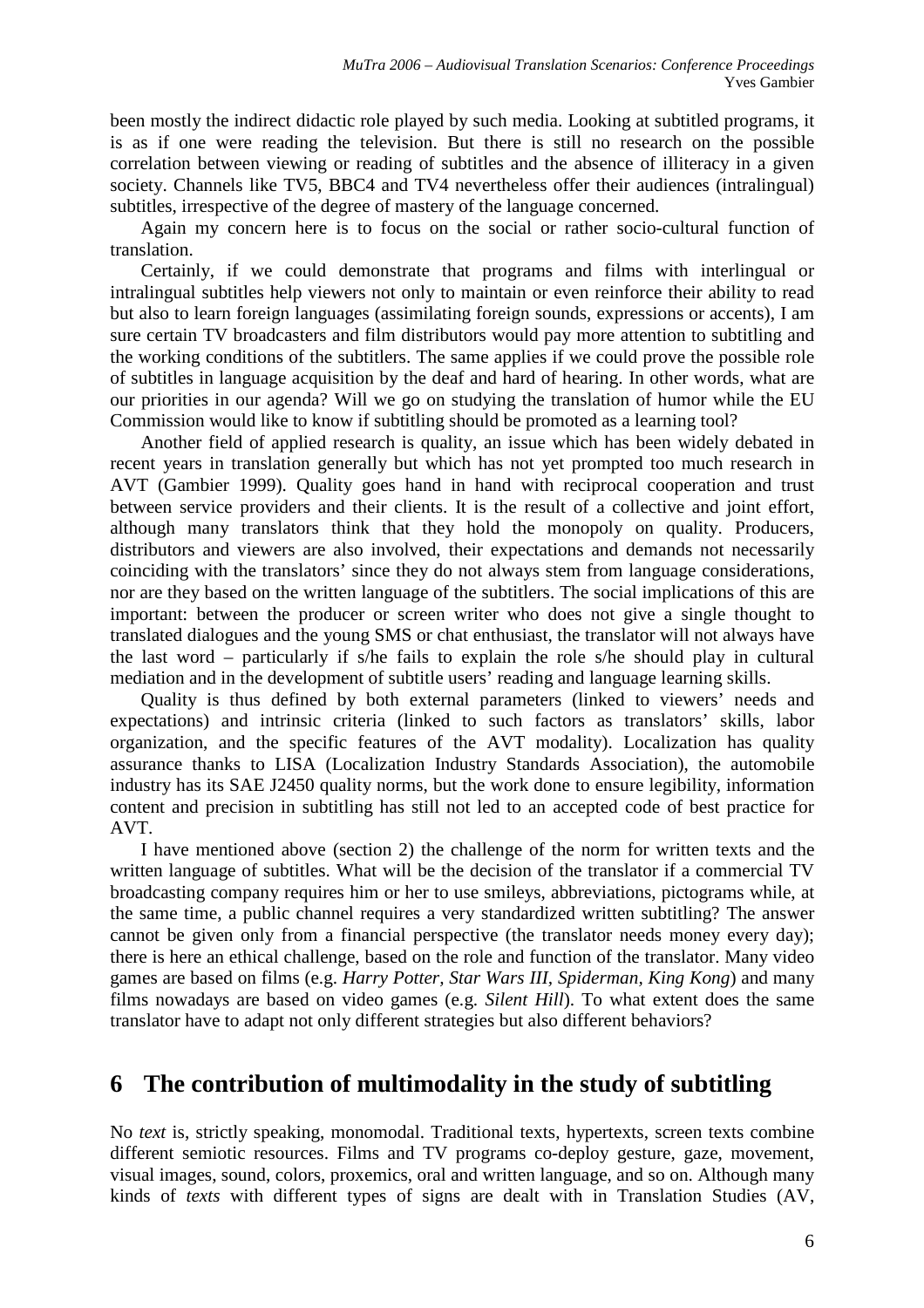been mostly the indirect didactic role played by such media. Looking at subtitled programs, it is as if one were reading the television. But there is still no research on the possible correlation between viewing or reading of subtitles and the absence of illiteracy in a given society. Channels like TV5, BBC4 and TV4 nevertheless offer their audiences (intralingual) subtitles, irrespective of the degree of mastery of the language concerned.

Again my concern here is to focus on the social or rather socio-cultural function of translation.

Certainly, if we could demonstrate that programs and films with interlingual or intralingual subtitles help viewers not only to maintain or even reinforce their ability to read but also to learn foreign languages (assimilating foreign sounds, expressions or accents), I am sure certain TV broadcasters and film distributors would pay more attention to subtitling and the working conditions of the subtitlers. The same applies if we could prove the possible role of subtitles in language acquisition by the deaf and hard of hearing. In other words, what are our priorities in our agenda? Will we go on studying the translation of humor while the EU Commission would like to know if subtitling should be promoted as a learning tool?

Another field of applied research is quality, an issue which has been widely debated in recent years in translation generally but which has not yet prompted too much research in AVT (Gambier 1999). Quality goes hand in hand with reciprocal cooperation and trust between service providers and their clients. It is the result of a collective and joint effort, although many translators think that they hold the monopoly on quality. Producers, distributors and viewers are also involved, their expectations and demands not necessarily coinciding with the translators' since they do not always stem from language considerations, nor are they based on the written language of the subtitlers. The social implications of this are important: between the producer or screen writer who does not give a single thought to translated dialogues and the young SMS or chat enthusiast, the translator will not always have the last word – particularly if s/he fails to explain the role s/he should play in cultural mediation and in the development of subtitle users' reading and language learning skills.

Quality is thus defined by both external parameters (linked to viewers' needs and expectations) and intrinsic criteria (linked to such factors as translators' skills, labor organization, and the specific features of the AVT modality). Localization has quality assurance thanks to LISA (Localization Industry Standards Association), the automobile industry has its SAE J2450 quality norms, but the work done to ensure legibility, information content and precision in subtitling has still not led to an accepted code of best practice for AVT.

I have mentioned above (section 2) the challenge of the norm for written texts and the written language of subtitles. What will be the decision of the translator if a commercial TV broadcasting company requires him or her to use smileys, abbreviations, pictograms while, at the same time, a public channel requires a very standardized written subtitling? The answer cannot be given only from a financial perspective (the translator needs money every day); there is here an ethical challenge, based on the role and function of the translator. Many video games are based on films (e.g. *Harry Potter, Star Wars III, Spiderman, King Kong*) and many films nowadays are based on video games (e.g. *Silent Hill*). To what extent does the same translator have to adapt not only different strategies but also different behaviors?

## **6 The contribution of multimodality in the study of subtitling**

No *text* is, strictly speaking, monomodal. Traditional texts, hypertexts, screen texts combine different semiotic resources. Films and TV programs co-deploy gesture, gaze, movement, visual images, sound, colors, proxemics, oral and written language, and so on. Although many kinds of *texts* with different types of signs are dealt with in Translation Studies (AV,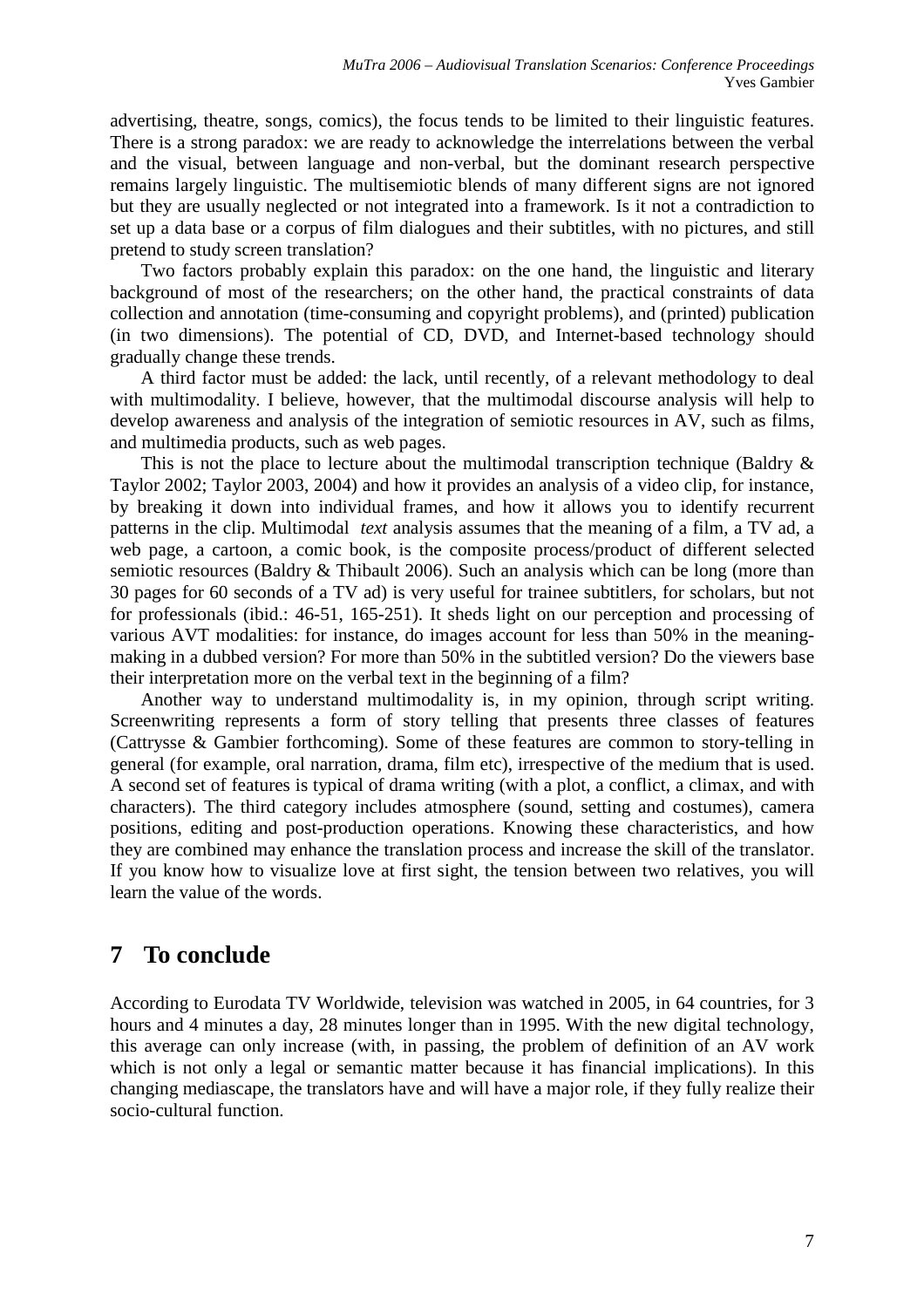advertising, theatre, songs, comics), the focus tends to be limited to their linguistic features. There is a strong paradox: we are ready to acknowledge the interrelations between the verbal and the visual, between language and non-verbal, but the dominant research perspective remains largely linguistic. The multisemiotic blends of many different signs are not ignored but they are usually neglected or not integrated into a framework. Is it not a contradiction to set up a data base or a corpus of film dialogues and their subtitles, with no pictures, and still pretend to study screen translation?

Two factors probably explain this paradox: on the one hand, the linguistic and literary background of most of the researchers; on the other hand, the practical constraints of data collection and annotation (time-consuming and copyright problems), and (printed) publication (in two dimensions). The potential of CD, DVD, and Internet-based technology should gradually change these trends.

A third factor must be added: the lack, until recently, of a relevant methodology to deal with multimodality. I believe, however, that the multimodal discourse analysis will help to develop awareness and analysis of the integration of semiotic resources in AV, such as films, and multimedia products, such as web pages.

This is not the place to lecture about the multimodal transcription technique (Baldry  $\&$ Taylor 2002; Taylor 2003, 2004) and how it provides an analysis of a video clip, for instance, by breaking it down into individual frames, and how it allows you to identify recurrent patterns in the clip. Multimodal *text* analysis assumes that the meaning of a film, a TV ad, a web page, a cartoon, a comic book, is the composite process/product of different selected semiotic resources (Baldry & Thibault 2006). Such an analysis which can be long (more than 30 pages for 60 seconds of a TV ad) is very useful for trainee subtitlers, for scholars, but not for professionals (ibid.: 46-51, 165-251). It sheds light on our perception and processing of various AVT modalities: for instance, do images account for less than 50% in the meaningmaking in a dubbed version? For more than 50% in the subtitled version? Do the viewers base their interpretation more on the verbal text in the beginning of a film?

Another way to understand multimodality is, in my opinion, through script writing. Screenwriting represents a form of story telling that presents three classes of features (Cattrysse & Gambier forthcoming). Some of these features are common to story-telling in general (for example, oral narration, drama, film etc), irrespective of the medium that is used. A second set of features is typical of drama writing (with a plot, a conflict, a climax, and with characters). The third category includes atmosphere (sound, setting and costumes), camera positions, editing and post-production operations. Knowing these characteristics, and how they are combined may enhance the translation process and increase the skill of the translator. If you know how to visualize love at first sight, the tension between two relatives, you will learn the value of the words.

## **7 To conclude**

According to Eurodata TV Worldwide, television was watched in 2005, in 64 countries, for 3 hours and 4 minutes a day, 28 minutes longer than in 1995. With the new digital technology, this average can only increase (with, in passing, the problem of definition of an AV work which is not only a legal or semantic matter because it has financial implications). In this changing mediascape, the translators have and will have a major role, if they fully realize their socio-cultural function.